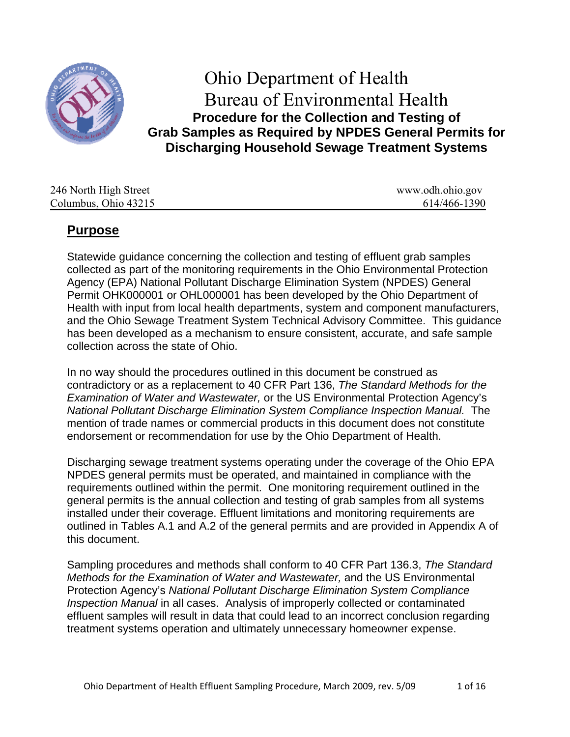

# Ohio Department of Health Bureau of Environmental Health **Procedure for the Collection and Testing of Grab Samples as Required by NPDES General Permits for Discharging Household Sewage Treatment Systems**

| 246 North High Street | www.odh.ohio.gov |
|-----------------------|------------------|
| Columbus, Ohio 43215  | 614/466-1390     |

## **Purpose**

Statewide guidance concerning the collection and testing of effluent grab samples collected as part of the monitoring requirements in the Ohio Environmental Protection Agency (EPA) National Pollutant Discharge Elimination System (NPDES) General Permit OHK000001 or OHL000001 has been developed by the Ohio Department of Health with input from local health departments, system and component manufacturers, and the Ohio Sewage Treatment System Technical Advisory Committee. This guidance has been developed as a mechanism to ensure consistent, accurate, and safe sample collection across the state of Ohio.

In no way should the procedures outlined in this document be construed as contradictory or as a replacement to 40 CFR Part 136, *The Standard Methods for the Examination of Water and Wastewater,* or the US Environmental Protection Agency's *National Pollutant Discharge Elimination System Compliance Inspection Manual.* The mention of trade names or commercial products in this document does not constitute endorsement or recommendation for use by the Ohio Department of Health.

Discharging sewage treatment systems operating under the coverage of the Ohio EPA NPDES general permits must be operated, and maintained in compliance with the requirements outlined within the permit. One monitoring requirement outlined in the general permits is the annual collection and testing of grab samples from all systems installed under their coverage. Effluent limitations and monitoring requirements are outlined in Tables A.1 and A.2 of the general permits and are provided in Appendix A of this document.

Sampling procedures and methods shall conform to 40 CFR Part 136.3, *The Standard Methods for the Examination of Water and Wastewater,* and the US Environmental Protection Agency's *National Pollutant Discharge Elimination System Compliance Inspection Manual* in all cases. Analysis of improperly collected or contaminated effluent samples will result in data that could lead to an incorrect conclusion regarding treatment systems operation and ultimately unnecessary homeowner expense.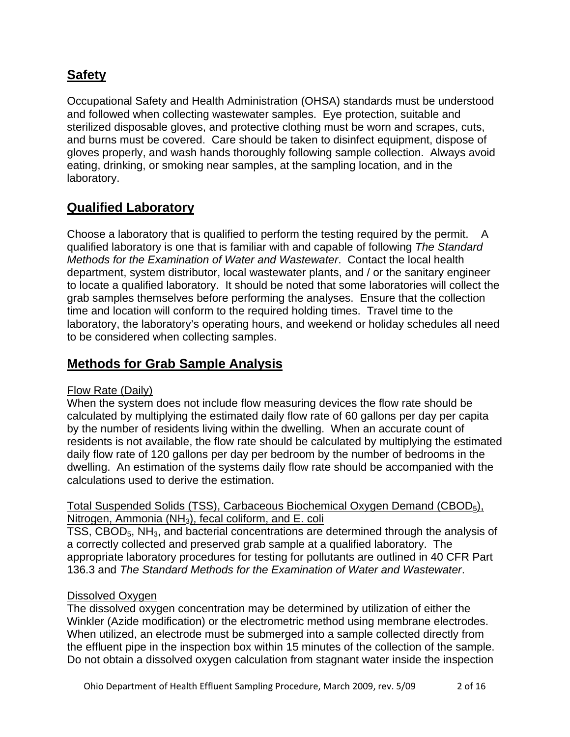## **Safety**

Occupational Safety and Health Administration (OHSA) standards must be understood and followed when collecting wastewater samples. Eye protection, suitable and sterilized disposable gloves, and protective clothing must be worn and scrapes, cuts, and burns must be covered. Care should be taken to disinfect equipment, dispose of gloves properly, and wash hands thoroughly following sample collection. Always avoid eating, drinking, or smoking near samples, at the sampling location, and in the laboratory.

## **Qualified Laboratory**

Choose a laboratory that is qualified to perform the testing required by the permit. A qualified laboratory is one that is familiar with and capable of following *The Standard Methods for the Examination of Water and Wastewater*. Contact the local health department, system distributor, local wastewater plants, and / or the sanitary engineer to locate a qualified laboratory. It should be noted that some laboratories will collect the grab samples themselves before performing the analyses. Ensure that the collection time and location will conform to the required holding times. Travel time to the laboratory, the laboratory's operating hours, and weekend or holiday schedules all need to be considered when collecting samples.

## **Methods for Grab Sample Analysis**

#### Flow Rate (Daily)

When the system does not include flow measuring devices the flow rate should be calculated by multiplying the estimated daily flow rate of 60 gallons per day per capita by the number of residents living within the dwelling. When an accurate count of residents is not available, the flow rate should be calculated by multiplying the estimated daily flow rate of 120 gallons per day per bedroom by the number of bedrooms in the dwelling. An estimation of the systems daily flow rate should be accompanied with the calculations used to derive the estimation.

### Total Suspended Solids (TSS), Carbaceous Biochemical Oxygen Demand (CBOD<sub>5</sub>), Nitrogen, Ammonia (NH<sub>3</sub>), fecal coliform, and E. coli

TSS, CBOD<sub>5</sub>, NH<sub>3</sub>, and bacterial concentrations are determined through the analysis of a correctly collected and preserved grab sample at a qualified laboratory. The appropriate laboratory procedures for testing for pollutants are outlined in 40 CFR Part 136.3 and *The Standard Methods for the Examination of Water and Wastewater*.

#### Dissolved Oxygen

The dissolved oxygen concentration may be determined by utilization of either the Winkler (Azide modification) or the electrometric method using membrane electrodes. When utilized, an electrode must be submerged into a sample collected directly from the effluent pipe in the inspection box within 15 minutes of the collection of the sample. Do not obtain a dissolved oxygen calculation from stagnant water inside the inspection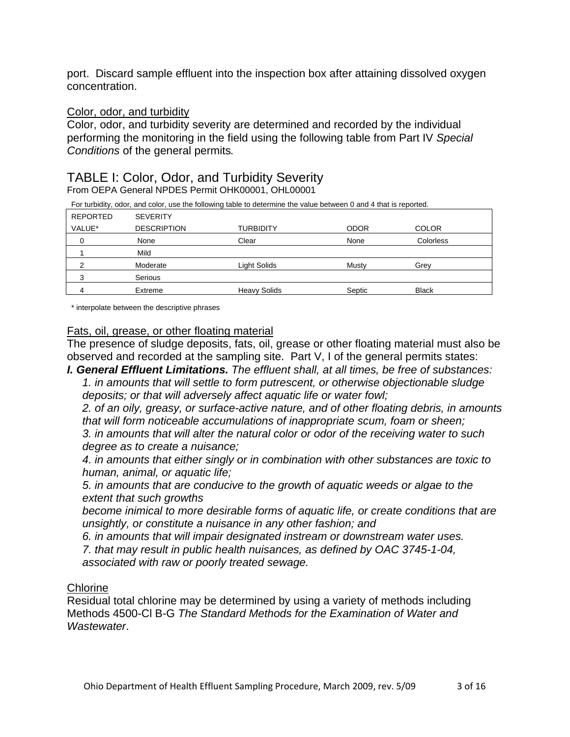port. Discard sample effluent into the inspection box after attaining dissolved oxygen concentration.

#### Color, odor, and turbidity

Color, odor, and turbidity severity are determined and recorded by the individual performing the monitoring in the field using the following table from Part IV *Special Conditions* of the general permits*.* 

## TABLE I: Color, Odor, and Turbidity Severity

From OEPA General NPDES Permit OHK00001, OHL00001

| For turbidity, odor, and color, use the following table to determine the value between 0 and 4 that is reported. |
|------------------------------------------------------------------------------------------------------------------|
|                                                                                                                  |

| REPORTED | <b>SEVERITY</b>    |                     |             |              |  |
|----------|--------------------|---------------------|-------------|--------------|--|
| VALUE*   | <b>DESCRIPTION</b> | <b>TURBIDITY</b>    | <b>ODOR</b> | <b>COLOR</b> |  |
|          | None               | Clear               | None        | Colorless    |  |
|          | Mild               |                     |             |              |  |
| ົ        | Moderate           | Light Solids        | Musty       | Grey         |  |
| ົ        | Serious            |                     |             |              |  |
| 4        | Extreme            | <b>Heavy Solids</b> | Septic      | <b>Black</b> |  |

\* interpolate between the descriptive phrases

#### Fats, oil, grease, or other floating material

The presence of sludge deposits, fats, oil, grease or other floating material must also be observed and recorded at the sampling site. Part V, I of the general permits states:

*I. General Effluent Limitations. The effluent shall, at all times, be free of substances: 1. in amounts that will settle to form putrescent, or otherwise objectionable sludge deposits; or that will adversely affect aquatic life or water fowl;* 

*2. of an oily, greasy, or surface-active nature, and of other floating debris, in amounts that will form noticeable accumulations of inappropriate scum, foam or sheen;* 

*3. in amounts that will alter the natural color or odor of the receiving water to such degree as to create a nuisance;* 

*4. in amounts that either singly or in combination with other substances are toxic to human, animal, or aquatic life;* 

*5. in amounts that are conducive to the growth of aquatic weeds or algae to the extent that such growths* 

*become inimical to more desirable forms of aquatic life, or create conditions that are unsightly, or constitute a nuisance in any other fashion; and* 

*6. in amounts that will impair designated instream or downstream water uses.* 

*7. that may result in public health nuisances, as defined by OAC 3745-1-04, associated with raw or poorly treated sewage.* 

#### **Chlorine**

Residual total chlorine may be determined by using a variety of methods including Methods 4500-Cl B-G *The Standard Methods for the Examination of Water and Wastewater*.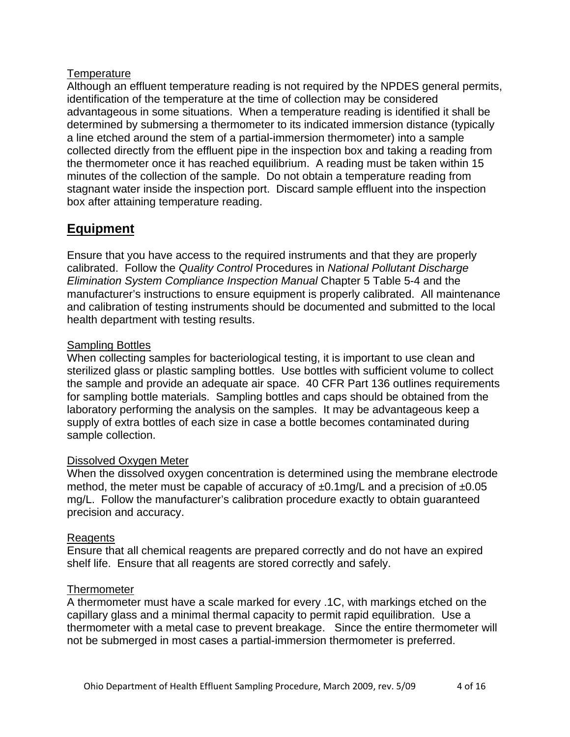#### **Temperature**

Although an effluent temperature reading is not required by the NPDES general permits, identification of the temperature at the time of collection may be considered advantageous in some situations. When a temperature reading is identified it shall be determined by submersing a thermometer to its indicated immersion distance (typically a line etched around the stem of a partial-immersion thermometer) into a sample collected directly from the effluent pipe in the inspection box and taking a reading from the thermometer once it has reached equilibrium. A reading must be taken within 15 minutes of the collection of the sample. Do not obtain a temperature reading from stagnant water inside the inspection port. Discard sample effluent into the inspection box after attaining temperature reading.

## **Equipment**

Ensure that you have access to the required instruments and that they are properly calibrated. Follow the *Quality Control* Procedures in *National Pollutant Discharge Elimination System Compliance Inspection Manual* Chapter 5 Table 5-4 and the manufacturer's instructions to ensure equipment is properly calibrated. All maintenance and calibration of testing instruments should be documented and submitted to the local health department with testing results.

### Sampling Bottles

When collecting samples for bacteriological testing, it is important to use clean and sterilized glass or plastic sampling bottles. Use bottles with sufficient volume to collect the sample and provide an adequate air space. 40 CFR Part 136 outlines requirements for sampling bottle materials. Sampling bottles and caps should be obtained from the laboratory performing the analysis on the samples. It may be advantageous keep a supply of extra bottles of each size in case a bottle becomes contaminated during sample collection.

#### Dissolved Oxygen Meter

When the dissolved oxygen concentration is determined using the membrane electrode method, the meter must be capable of accuracy of  $\pm 0.1$ mg/L and a precision of  $\pm 0.05$ mg/L. Follow the manufacturer's calibration procedure exactly to obtain guaranteed precision and accuracy.

## Reagents

Ensure that all chemical reagents are prepared correctly and do not have an expired shelf life. Ensure that all reagents are stored correctly and safely.

#### **Thermometer**

A thermometer must have a scale marked for every .1C, with markings etched on the capillary glass and a minimal thermal capacity to permit rapid equilibration. Use a thermometer with a metal case to prevent breakage. Since the entire thermometer will not be submerged in most cases a partial-immersion thermometer is preferred.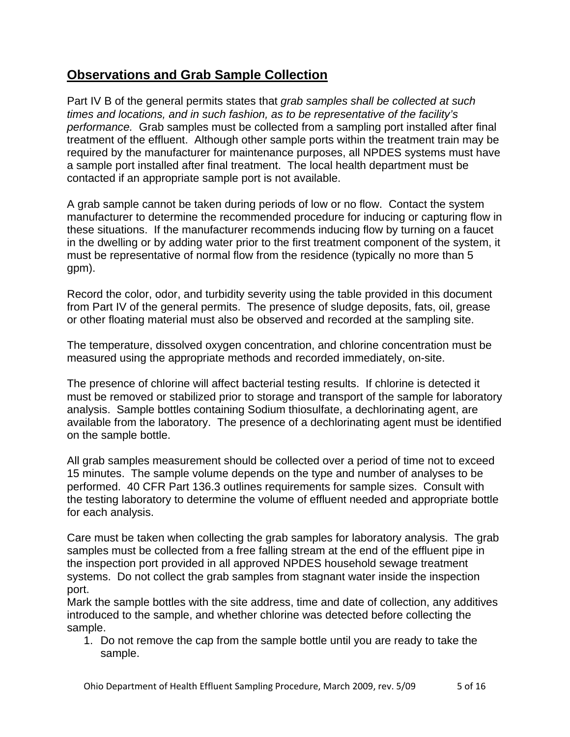## **Observations and Grab Sample Collection**

Part IV B of the general permits states that *grab samples shall be collected at such times and locations, and in such fashion, as to be representative of the facility's performance.* Grab samples must be collected from a sampling port installed after final treatment of the effluent. Although other sample ports within the treatment train may be required by the manufacturer for maintenance purposes, all NPDES systems must have a sample port installed after final treatment. The local health department must be contacted if an appropriate sample port is not available.

A grab sample cannot be taken during periods of low or no flow. Contact the system manufacturer to determine the recommended procedure for inducing or capturing flow in these situations. If the manufacturer recommends inducing flow by turning on a faucet in the dwelling or by adding water prior to the first treatment component of the system, it must be representative of normal flow from the residence (typically no more than 5 gpm).

Record the color, odor, and turbidity severity using the table provided in this document from Part IV of the general permits. The presence of sludge deposits, fats, oil, grease or other floating material must also be observed and recorded at the sampling site.

The temperature, dissolved oxygen concentration, and chlorine concentration must be measured using the appropriate methods and recorded immediately, on-site.

The presence of chlorine will affect bacterial testing results. If chlorine is detected it must be removed or stabilized prior to storage and transport of the sample for laboratory analysis. Sample bottles containing Sodium thiosulfate, a dechlorinating agent, are available from the laboratory. The presence of a dechlorinating agent must be identified on the sample bottle.

All grab samples measurement should be collected over a period of time not to exceed 15 minutes. The sample volume depends on the type and number of analyses to be performed. 40 CFR Part 136.3 outlines requirements for sample sizes. Consult with the testing laboratory to determine the volume of effluent needed and appropriate bottle for each analysis.

Care must be taken when collecting the grab samples for laboratory analysis. The grab samples must be collected from a free falling stream at the end of the effluent pipe in the inspection port provided in all approved NPDES household sewage treatment systems. Do not collect the grab samples from stagnant water inside the inspection port.

Mark the sample bottles with the site address, time and date of collection, any additives introduced to the sample, and whether chlorine was detected before collecting the sample.

1. Do not remove the cap from the sample bottle until you are ready to take the sample.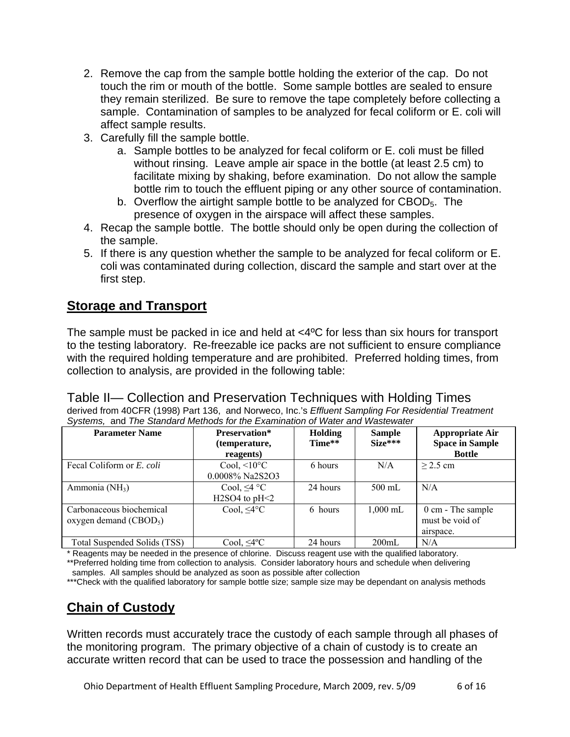- 2. Remove the cap from the sample bottle holding the exterior of the cap. Do not touch the rim or mouth of the bottle. Some sample bottles are sealed to ensure they remain sterilized. Be sure to remove the tape completely before collecting a sample. Contamination of samples to be analyzed for fecal coliform or E. coli will affect sample results.
- 3. Carefully fill the sample bottle.
	- a. Sample bottles to be analyzed for fecal coliform or E. coli must be filled without rinsing. Leave ample air space in the bottle (at least 2.5 cm) to facilitate mixing by shaking, before examination. Do not allow the sample bottle rim to touch the effluent piping or any other source of contamination.
	- b. Overflow the airtight sample bottle to be analyzed for CBOD<sub>5</sub>. The presence of oxygen in the airspace will affect these samples.
- 4. Recap the sample bottle. The bottle should only be open during the collection of the sample.
- 5. If there is any question whether the sample to be analyzed for fecal coliform or E. coli was contaminated during collection, discard the sample and start over at the first step.

## **Storage and Transport**

The sample must be packed in ice and held at <4ºC for less than six hours for transport to the testing laboratory. Re-freezable ice packs are not sufficient to ensure compliance with the required holding temperature and are prohibited. Preferred holding times, from collection to analysis, are provided in the following table:

## Table II— Collection and Preservation Techniques with Holding Times

derived from 40CFR (1998) Part 136, and Norweco, Inc.'s *Effluent Sampling For Residential Treatment Systems,* and *The Standard Methods for the Examination of Water and Wastewater*

| <b>Parameter Name</b>            | <b>Preservation*</b><br>(temperature, | <b>Holding</b><br>Time** | <b>Sample</b><br>$Size***$ | <b>Appropriate Air</b><br><b>Space in Sample</b> |
|----------------------------------|---------------------------------------|--------------------------|----------------------------|--------------------------------------------------|
|                                  | reagents)                             |                          |                            | <b>Bottle</b>                                    |
| Fecal Coliform or <i>E. coli</i> | Cool, $\leq 10^{\circ}$ C             | 6 hours                  | N/A                        | $>$ 2.5 cm                                       |
|                                  | 0.0008% Na2S2O3                       |                          |                            |                                                  |
| Ammonia (NH <sub>3</sub> )       | Cool, $\leq 4$ °C                     | 24 hours                 | $500 \text{ mL}$           | N/A                                              |
|                                  | $H2SO4$ to $pH<2$                     |                          |                            |                                                  |
| Carbonaceous biochemical         | Cool, $\leq 4^{\circ}C$               | 6 hours                  | $1.000$ mL                 | $0 \text{ cm}$ - The sample                      |
| oxygen demand $(CBOD5)$          |                                       |                          |                            | must be void of                                  |
|                                  |                                       |                          |                            | airspace.                                        |
| Total Suspended Solids (TSS)     | Cool, ≤4°C                            | 24 hours                 | 200mL                      | N/A                                              |

Reagents may be needed in the presence of chlorine. Discuss reagent use with the qualified laboratory.

\*\*Preferred holding time from collection to analysis. Consider laboratory hours and schedule when delivering samples. All samples should be analyzed as soon as possible after collection

\*\*\*Check with the qualified laboratory for sample bottle size; sample size may be dependant on analysis methods

# **Chain of Custody**

Written records must accurately trace the custody of each sample through all phases of the monitoring program. The primary objective of a chain of custody is to create an accurate written record that can be used to trace the possession and handling of the

Ohio Department of Health Effluent Sampling Procedure, March 2009, rev. 5/09 6 of 16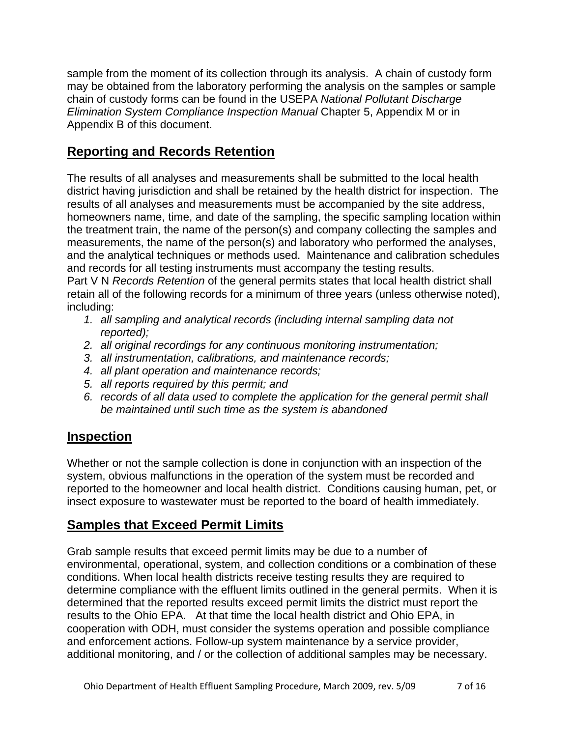sample from the moment of its collection through its analysis. A chain of custody form may be obtained from the laboratory performing the analysis on the samples or sample chain of custody forms can be found in the USEPA *National Pollutant Discharge Elimination System Compliance Inspection Manual* Chapter 5, Appendix M or in Appendix B of this document.

## **Reporting and Records Retention**

The results of all analyses and measurements shall be submitted to the local health district having jurisdiction and shall be retained by the health district for inspection. The results of all analyses and measurements must be accompanied by the site address, homeowners name, time, and date of the sampling, the specific sampling location within the treatment train, the name of the person(s) and company collecting the samples and measurements, the name of the person(s) and laboratory who performed the analyses, and the analytical techniques or methods used. Maintenance and calibration schedules and records for all testing instruments must accompany the testing results.

Part V N *Records Retention* of the general permits states that local health district shall retain all of the following records for a minimum of three years (unless otherwise noted), including:

- *1. all sampling and analytical records (including internal sampling data not reported);*
- *2. all original recordings for any continuous monitoring instrumentation;*
- *3. all instrumentation, calibrations, and maintenance records;*
- *4. all plant operation and maintenance records;*
- *5. all reports required by this permit; and*
- *6. records of all data used to complete the application for the general permit shall be maintained until such time as the system is abandoned*

## **Inspection**

Whether or not the sample collection is done in conjunction with an inspection of the system, obvious malfunctions in the operation of the system must be recorded and reported to the homeowner and local health district. Conditions causing human, pet, or insect exposure to wastewater must be reported to the board of health immediately.

## **Samples that Exceed Permit Limits**

Grab sample results that exceed permit limits may be due to a number of environmental, operational, system, and collection conditions or a combination of these conditions. When local health districts receive testing results they are required to determine compliance with the effluent limits outlined in the general permits. When it is determined that the reported results exceed permit limits the district must report the results to the Ohio EPA. At that time the local health district and Ohio EPA, in cooperation with ODH, must consider the systems operation and possible compliance and enforcement actions. Follow-up system maintenance by a service provider, additional monitoring, and / or the collection of additional samples may be necessary.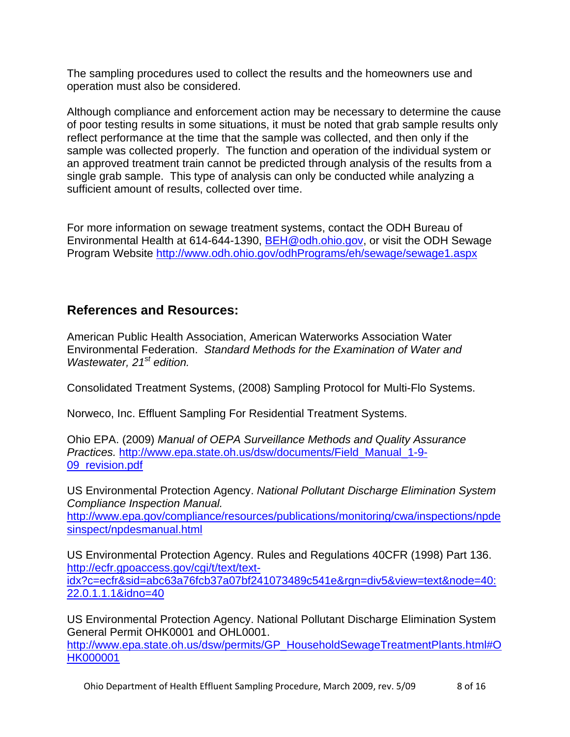The sampling procedures used to collect the results and the homeowners use and operation must also be considered.

Although compliance and enforcement action may be necessary to determine the cause of poor testing results in some situations, it must be noted that grab sample results only reflect performance at the time that the sample was collected, and then only if the sample was collected properly. The function and operation of the individual system or an approved treatment train cannot be predicted through analysis of the results from a single grab sample. This type of analysis can only be conducted while analyzing a sufficient amount of results, collected over time.

For more information on sewage treatment systems, contact the ODH Bureau of Environmental Health at 614-644-1390, **[BEH@odh.ohio.gov](mailto:BEH@odh.ohio.gov)**, or visit the ODH Sewage Program Website <http://www.odh.ohio.gov/odhPrograms/eh/sewage/sewage1.aspx>

## **References and Resources:**

American Public Health Association, American Waterworks Association Water Environmental Federation. *Standard Methods for the Examination of Water and Wastewater, 21st edition.*

Consolidated Treatment Systems, (2008) Sampling Protocol for Multi-Flo Systems.

Norweco, Inc. Effluent Sampling For Residential Treatment Systems.

Ohio EPA. (2009) *Manual of OEPA Surveillance Methods and Quality Assurance Practices.* [http://www.epa.state.oh.us/dsw/documents/Field\\_Manual\\_1-9-](http://www.epa.state.oh.us/dsw/documents/Field_Manual_1-9-09_revision.pdf) [09\\_revision.pdf](http://www.epa.state.oh.us/dsw/documents/Field_Manual_1-9-09_revision.pdf)

US Environmental Protection Agency. *National Pollutant Discharge Elimination System Compliance Inspection Manual.* 

[http://www.epa.gov/compliance/resources/publications/monitoring/cwa/inspections/npde](http://www.epa.gov/compliance/resources/publications/monitoring/cwa/inspections/npdesinspect/npdesmanual.html) [sinspect/npdesmanual.html](http://www.epa.gov/compliance/resources/publications/monitoring/cwa/inspections/npdesinspect/npdesmanual.html)

US Environmental Protection Agency. Rules and Regulations 40CFR (1998) Part 136. [http://ecfr.gpoaccess.gov/cgi/t/text/text](http://ecfr.gpoaccess.gov/cgi/t/text/text-idx?c=ecfr&sid=abc63a76fcb37a07bf241073489c541e&rgn=div5&view=text&node=40:22.0.1.1.1&idno=40)[idx?c=ecfr&sid=abc63a76fcb37a07bf241073489c541e&rgn=div5&view=text&node=40:](http://ecfr.gpoaccess.gov/cgi/t/text/text-idx?c=ecfr&sid=abc63a76fcb37a07bf241073489c541e&rgn=div5&view=text&node=40:22.0.1.1.1&idno=40) [22.0.1.1.1&idno=40](http://ecfr.gpoaccess.gov/cgi/t/text/text-idx?c=ecfr&sid=abc63a76fcb37a07bf241073489c541e&rgn=div5&view=text&node=40:22.0.1.1.1&idno=40)

US Environmental Protection Agency. National Pollutant Discharge Elimination System General Permit OHK0001 and OHL0001.

[http://www.epa.state.oh.us/dsw/permits/GP\\_HouseholdSewageTreatmentPlants.html#O](http://www.epa.state.oh.us/dsw/permits/GP_HouseholdSewageTreatmentPlants.html#OHK000001) [HK000001](http://www.epa.state.oh.us/dsw/permits/GP_HouseholdSewageTreatmentPlants.html#OHK000001)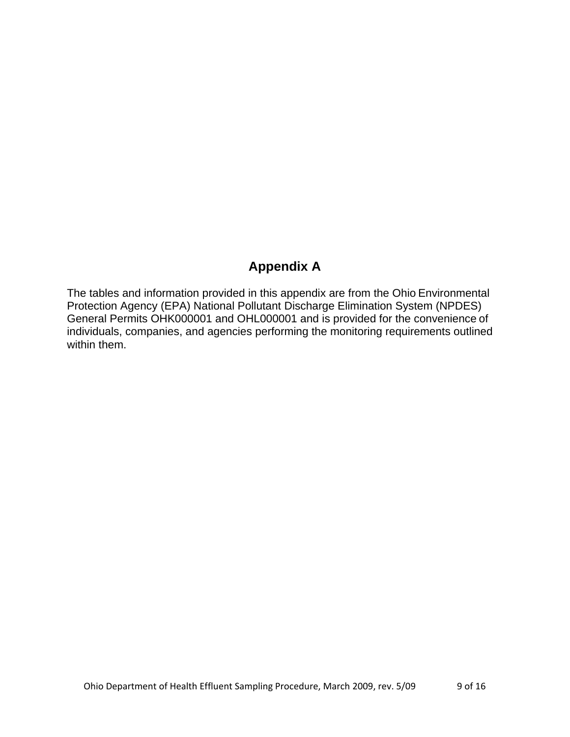## **Appendix A**

The tables and information provided in this appendix are from the Ohio Environmental Protection Agency (EPA) National Pollutant Discharge Elimination System (NPDES) General Permits OHK000001 and OHL000001 and is provided for the convenience of individuals, companies, and agencies performing the monitoring requirements outlined within them.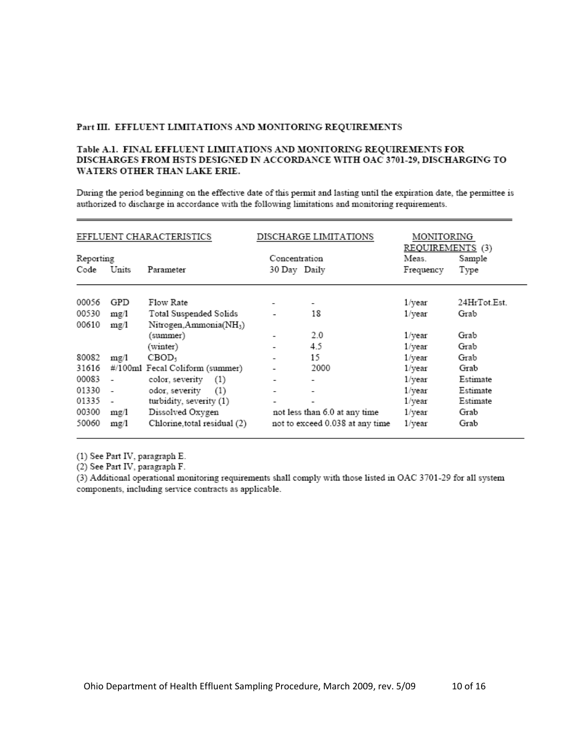#### Part III. EFFLUENT LIMITATIONS AND MONITORING REQUIREMENTS

#### Table A.1. FINAL EFFLUENT LIMITATIONS AND MONITORING REQUIREMENTS FOR DISCHARGES FROM HSTS DESIGNED IN ACCORDANCE WITH OAC 3701-29, DISCHARGING TO WATERS OTHER THAN LAKE ERIE.

During the period beginning on the effective date of this permit and lasting until the expiration date, the permittee is authorized to discharge in accordance with the following limitations and monitoring requirements.

| EFFLUENT CHARACTERISTICS |       |                                     | DISCHARGE LIMITATIONS    | MONITORING<br>REQUIREMENTS (3)  |           |              |
|--------------------------|-------|-------------------------------------|--------------------------|---------------------------------|-----------|--------------|
| Reporting                |       |                                     |                          | Concentration                   |           | Sample       |
| Code                     | Units | Parameter                           | 30 Day Daily             |                                 | Frequency | Type         |
| 00056                    | GPD   | Flow Rate                           |                          | ۰                               | 1/year    | 24HrTot.Est. |
| 00530                    | mg/l  | Total Suspended Solids              |                          | 18                              | 1/year    | Grab         |
| 00610                    | mg/l  | Nitrogen, Ammonia(NH <sub>3</sub> ) |                          |                                 |           |              |
|                          |       | (summer)                            | ۰                        | 2.0                             | 1/year    | Grab         |
|                          |       | (winter)                            | $\overline{\phantom{0}}$ | 4.5                             | 1/year    | Grab         |
| 80082                    | mg/1  | CBOD,                               | $\overline{\phantom{0}}$ | 15                              | 1/year    | Grab         |
| 31616                    |       | #/100ml Fecal Coliform (summer)     |                          | 2000                            | 1/year    | Grab         |
| 00083                    |       | color, severity<br>(1)              | -                        |                                 | 1/year    | Estimate     |
| 01330                    |       | odor, severity<br>(1)               | -                        |                                 | 1/year    | Estimate     |
| 01335                    |       | turbidity, severity (1)             | -                        |                                 | 1/year    | Estimate     |
| 00300                    | mg/l  | Dissolved Oxygen                    |                          | not less than 6.0 at any time   | 1/year    | Grab         |
| 50060                    | mg/1  | Chlorine, total residual (2)        |                          | not to exceed 0.038 at any time | 1/year    | Grab         |

(1) See Part IV, paragraph E.

(2) See Part IV, paragraph F.

(3) Additional operational monitoring requirements shall comply with those listed in OAC 3701-29 for all system components, including service contracts as applicable.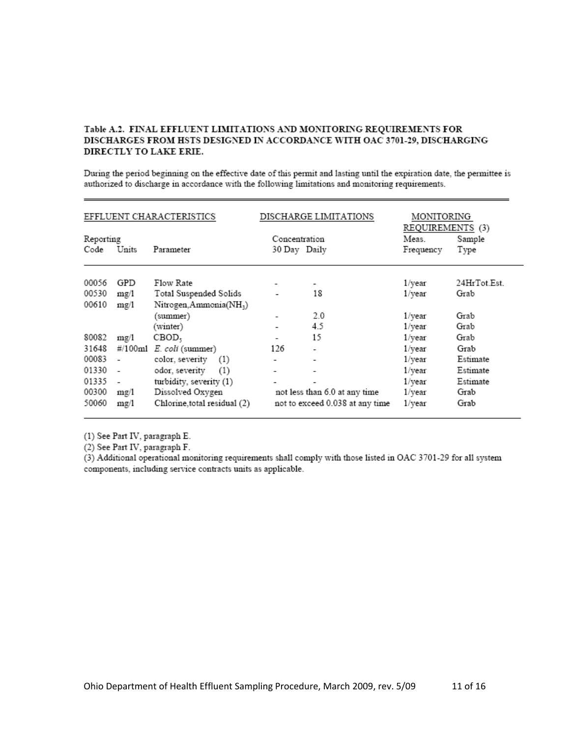#### Table A.2. FINAL EFFLUENT LIMITATIONS AND MONITORING REQUIREMENTS FOR DISCHARGES FROM HSTS DESIGNED IN ACCORDANCE WITH OAC 3701-29, DISCHARGING DIRECTLY TO LAKE ERIE.

During the period beginning on the effective date of this permit and lasting until the expiration date, the permittee is authorized to discharge in accordance with the following limitations and monitoring requirements.

| EFFLUENT CHARACTERISTICS |                          |                              | DISCHARGE LIMITATIONS | MONITORING<br>REQUIREMENTS (3)  |           |              |
|--------------------------|--------------------------|------------------------------|-----------------------|---------------------------------|-----------|--------------|
| Reporting                |                          |                              |                       | Concentration                   |           | Sample       |
| Code                     | Units                    | Parameter                    | 30 Day Daily          |                                 | Frequency | Type         |
| 00056                    | GPD                      | Flow Rate                    |                       | ۰                               | 1/year    | 24HrTot.Est. |
| 00530                    | mg/1                     | Total Suspended Solids       |                       | 18                              | 1/year    | Grab         |
| 00610                    | mg/1                     | Nitrogen, Ammonia(NH3)       |                       |                                 |           |              |
|                          |                          | (summer)                     |                       | 2.0                             | 1/year    | Grab         |
|                          |                          | (winter)                     | ۰                     | 4.5                             | 1/year    | Grab         |
| 80082                    | mg/1                     | CBOD,                        |                       | 15                              | 1/year    | Grab         |
| 31648                    | #/100ml                  | E. coli (summer)             | 126                   |                                 | 1/year    | Grab         |
| 00083                    |                          | color, severity<br>(1)       | ٠                     | -                               | 1/year    | Estimate     |
| 01330                    | $\overline{\phantom{a}}$ | odor, severity<br>(1)        | ٠                     | ۰                               | 1/year    | Estimate     |
| 01335                    |                          | turbidity, severity (1)      |                       |                                 | 1/year    | Estimate     |
| 00300                    | mg/1                     | Dissolved Oxygen             |                       | not less than 6.0 at any time   | 1/year    | Grab         |
| 50060                    | mg/1                     | Chlorine, total residual (2) |                       | not to exceed 0.038 at any time | 1/year    | Grab         |

(1) See Part IV, paragraph E.

(2) See Part IV, paragraph F.

(3) Additional operational monitoring requirements shall comply with those listed in OAC 3701-29 for all system components, including service contracts units as applicable.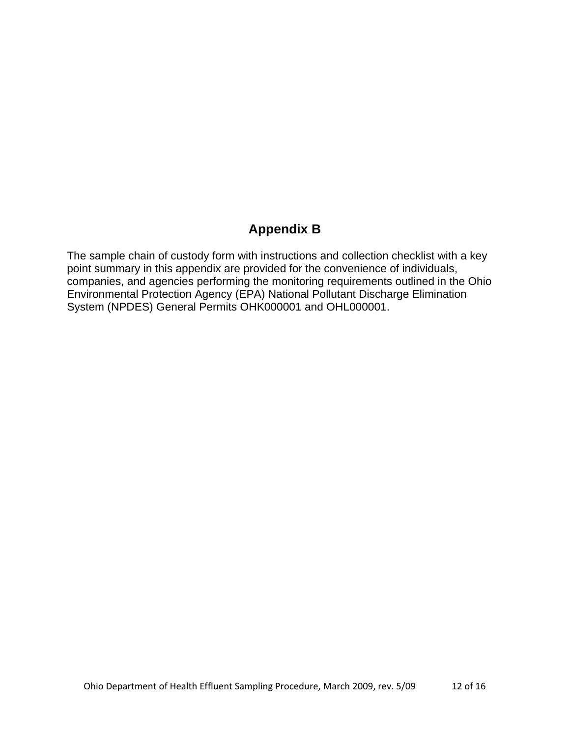# **Appendix B**

The sample chain of custody form with instructions and collection checklist with a key point summary in this appendix are provided for the convenience of individuals, companies, and agencies performing the monitoring requirements outlined in the Ohio Environmental Protection Agency (EPA) National Pollutant Discharge Elimination System (NPDES) General Permits OHK000001 and OHL000001.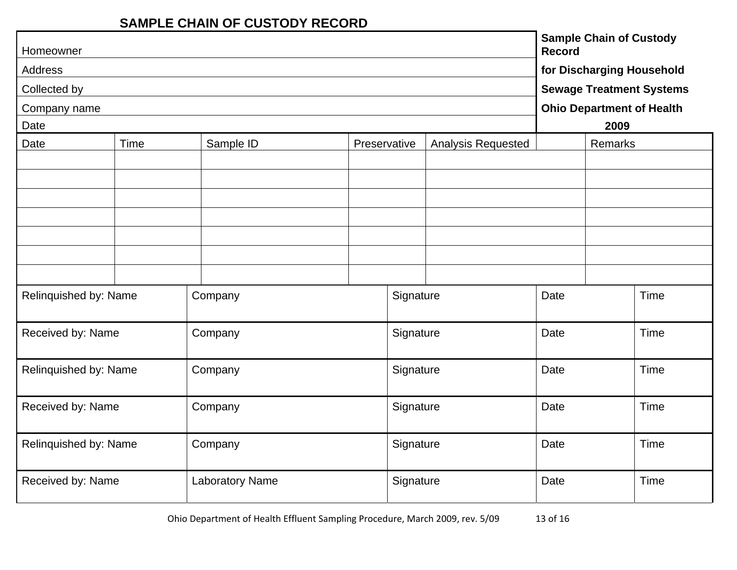## **SAMPLE CHAIN OF CUSTODY RECORD**

| Homeowner                                 |      |                        |              |           | <b>Sample Chain of Custody</b><br><b>Record</b><br>for Discharging Household |                                  |                                 |      |  |
|-------------------------------------------|------|------------------------|--------------|-----------|------------------------------------------------------------------------------|----------------------------------|---------------------------------|------|--|
| Address                                   |      |                        |              |           |                                                                              |                                  |                                 |      |  |
| Collected by                              |      |                        |              |           |                                                                              |                                  | <b>Sewage Treatment Systems</b> |      |  |
| Company name                              |      |                        |              |           |                                                                              | <b>Ohio Department of Health</b> |                                 |      |  |
| Date                                      |      |                        |              |           |                                                                              |                                  | 2009                            |      |  |
| Date                                      | Time | Sample ID              | Preservative |           | Analysis Requested                                                           |                                  | Remarks                         |      |  |
|                                           |      |                        |              |           |                                                                              |                                  |                                 |      |  |
|                                           |      |                        |              |           |                                                                              |                                  |                                 |      |  |
|                                           |      |                        |              |           |                                                                              |                                  |                                 |      |  |
|                                           |      |                        |              |           |                                                                              |                                  |                                 |      |  |
|                                           |      |                        |              |           |                                                                              |                                  |                                 |      |  |
|                                           |      |                        |              |           |                                                                              |                                  |                                 |      |  |
|                                           |      |                        |              |           |                                                                              |                                  |                                 |      |  |
|                                           |      |                        |              |           |                                                                              | Date                             |                                 | Time |  |
| Relinquished by: Name                     |      | Company                |              | Signature |                                                                              |                                  |                                 |      |  |
|                                           |      |                        |              |           |                                                                              |                                  |                                 |      |  |
| Received by: Name                         |      | Company                |              | Signature |                                                                              | Date                             |                                 | Time |  |
|                                           |      |                        |              |           |                                                                              |                                  |                                 |      |  |
| Relinquished by: Name                     |      | Company                |              | Signature |                                                                              | Date                             |                                 | Time |  |
|                                           |      |                        |              |           |                                                                              |                                  |                                 |      |  |
| Received by: Name<br>Signature<br>Company |      |                        | Date         |           | Time                                                                         |                                  |                                 |      |  |
|                                           |      |                        |              |           |                                                                              |                                  |                                 |      |  |
| Relinquished by: Name                     |      | Company                |              | Signature |                                                                              | Date                             |                                 | Time |  |
|                                           |      |                        |              |           |                                                                              |                                  |                                 |      |  |
| Received by: Name                         |      | <b>Laboratory Name</b> |              | Signature |                                                                              | Date                             |                                 | Time |  |
|                                           |      |                        |              |           |                                                                              |                                  |                                 |      |  |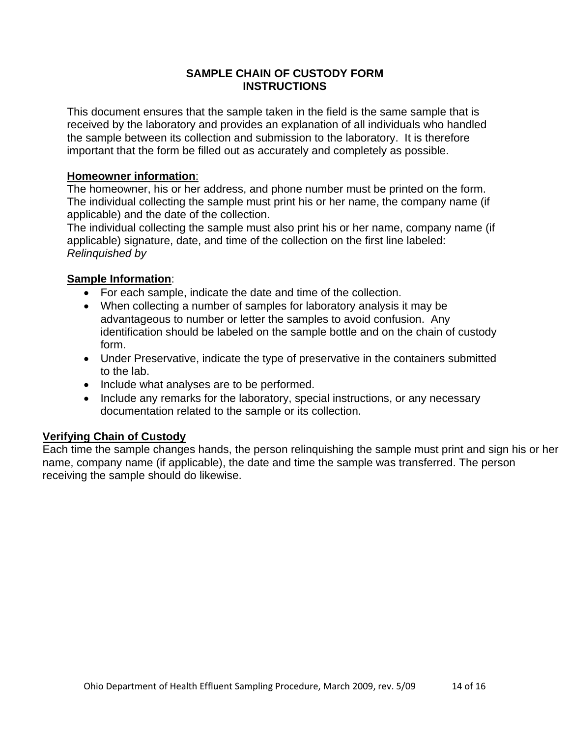#### **SAMPLE CHAIN OF CUSTODY FORM INSTRUCTIONS**

This document ensures that the sample taken in the field is the same sample that is received by the laboratory and provides an explanation of all individuals who handled the sample between its collection and submission to the laboratory. It is therefore important that the form be filled out as accurately and completely as possible.

#### **Homeowner information**:

The homeowner, his or her address, and phone number must be printed on the form. The individual collecting the sample must print his or her name, the company name (if applicable) and the date of the collection.

The individual collecting the sample must also print his or her name, company name (if applicable) signature, date, and time of the collection on the first line labeled: *Relinquished by*

### **Sample Information**:

- For each sample, indicate the date and time of the collection.
- When collecting a number of samples for laboratory analysis it may be advantageous to number or letter the samples to avoid confusion. Any identification should be labeled on the sample bottle and on the chain of custody form.
- Under Preservative, indicate the type of preservative in the containers submitted to the lab.
- Include what analyses are to be performed.
- Include any remarks for the laboratory, special instructions, or any necessary documentation related to the sample or its collection.

## **Verifying Chain of Custody**

Each time the sample changes hands, the person relinquishing the sample must print and sign his or her name, company name (if applicable), the date and time the sample was transferred. The person receiving the sample should do likewise.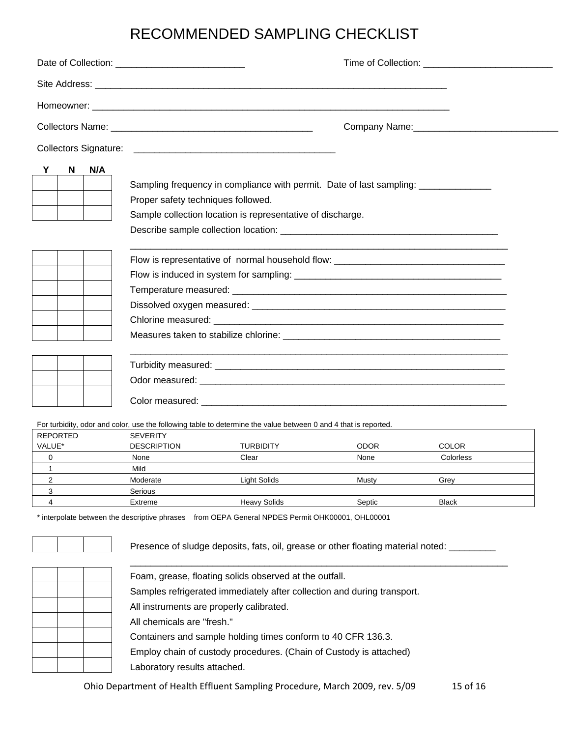# RECOMMENDED SAMPLING CHECKLIST

| Y                 |                 | N/A |                                    |                                                                                                                 |      |              |
|-------------------|-----------------|-----|------------------------------------|-----------------------------------------------------------------------------------------------------------------|------|--------------|
|                   | N               |     | Proper safety techniques followed. | Sampling frequency in compliance with permit. Date of last sampling:                                            |      |              |
|                   |                 |     |                                    | Sample collection location is representative of discharge.                                                      |      |              |
|                   |                 |     |                                    |                                                                                                                 |      |              |
|                   |                 |     |                                    | Flow is representative of normal household flow: _______________________________                                |      |              |
|                   |                 |     |                                    |                                                                                                                 |      |              |
|                   |                 |     |                                    |                                                                                                                 |      |              |
|                   |                 |     |                                    |                                                                                                                 |      |              |
|                   |                 |     |                                    |                                                                                                                 |      |              |
|                   |                 |     |                                    |                                                                                                                 |      |              |
|                   |                 |     |                                    |                                                                                                                 |      |              |
|                   |                 |     |                                    |                                                                                                                 |      |              |
|                   |                 |     |                                    |                                                                                                                 |      |              |
|                   |                 |     |                                    | For turbidity, odor and color, use the following table to determine the value between 0 and 4 that is reported. |      |              |
|                   | <b>REPORTED</b> |     | <b>SEVERITY</b>                    |                                                                                                                 |      |              |
| VALUE*            |                 |     | <b>DESCRIPTION</b>                 | TURBIDITY                                                                                                       | ODOR | <b>COLOR</b> |
| 0<br>$\mathbf{1}$ |                 |     | None<br>Mild                       | Clear                                                                                                           | None | Colorless    |

4 **Extreme Heavy Solids Septic Black** Black \* interpolate between the descriptive phrases from OEPA General NPDES Permit OHK00001, OHL00001

2 Moderate **Light Solids** Musty Grey

3 Serious

 $\frac{1}{2}$  ,  $\frac{1}{2}$  ,  $\frac{1}{2}$  ,  $\frac{1}{2}$  ,  $\frac{1}{2}$  ,  $\frac{1}{2}$  ,  $\frac{1}{2}$  ,  $\frac{1}{2}$  ,  $\frac{1}{2}$  ,  $\frac{1}{2}$  ,  $\frac{1}{2}$  ,  $\frac{1}{2}$  ,  $\frac{1}{2}$  ,  $\frac{1}{2}$  ,  $\frac{1}{2}$  ,  $\frac{1}{2}$  ,  $\frac{1}{2}$  ,  $\frac{1}{2}$  ,  $\frac{1$  Foam, grease, floating solids observed at the outfall. Samples refrigerated immediately after collection and during transport. All instruments are properly calibrated. All chemicals are "fresh." Containers and sample holding times conform to 40 CFR 136.3. Employ chain of custody procedures. (Chain of Custody is attached) Laboratory results attached.